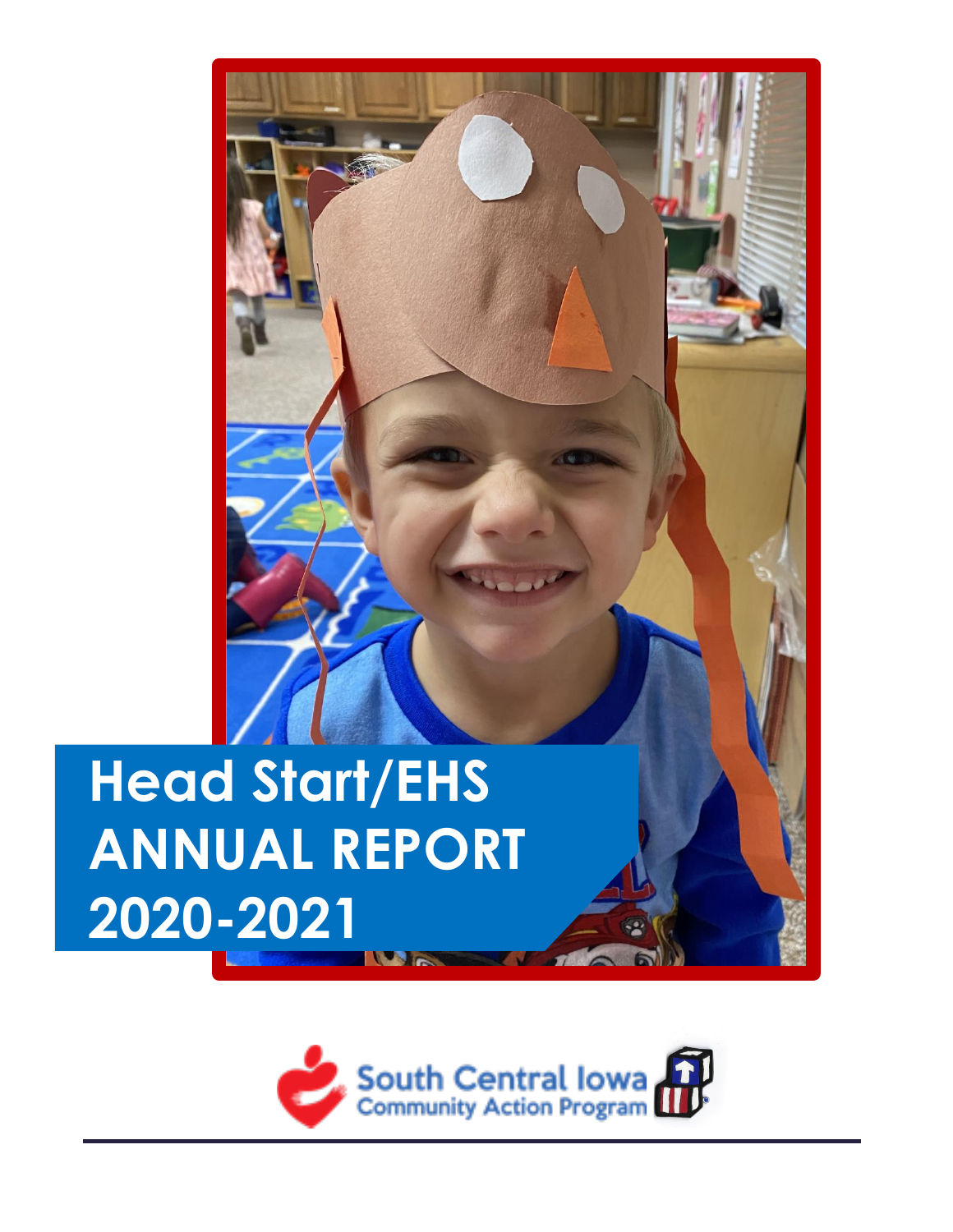# **Head Start/EHS ANNUAL REPORT 2020-2021**

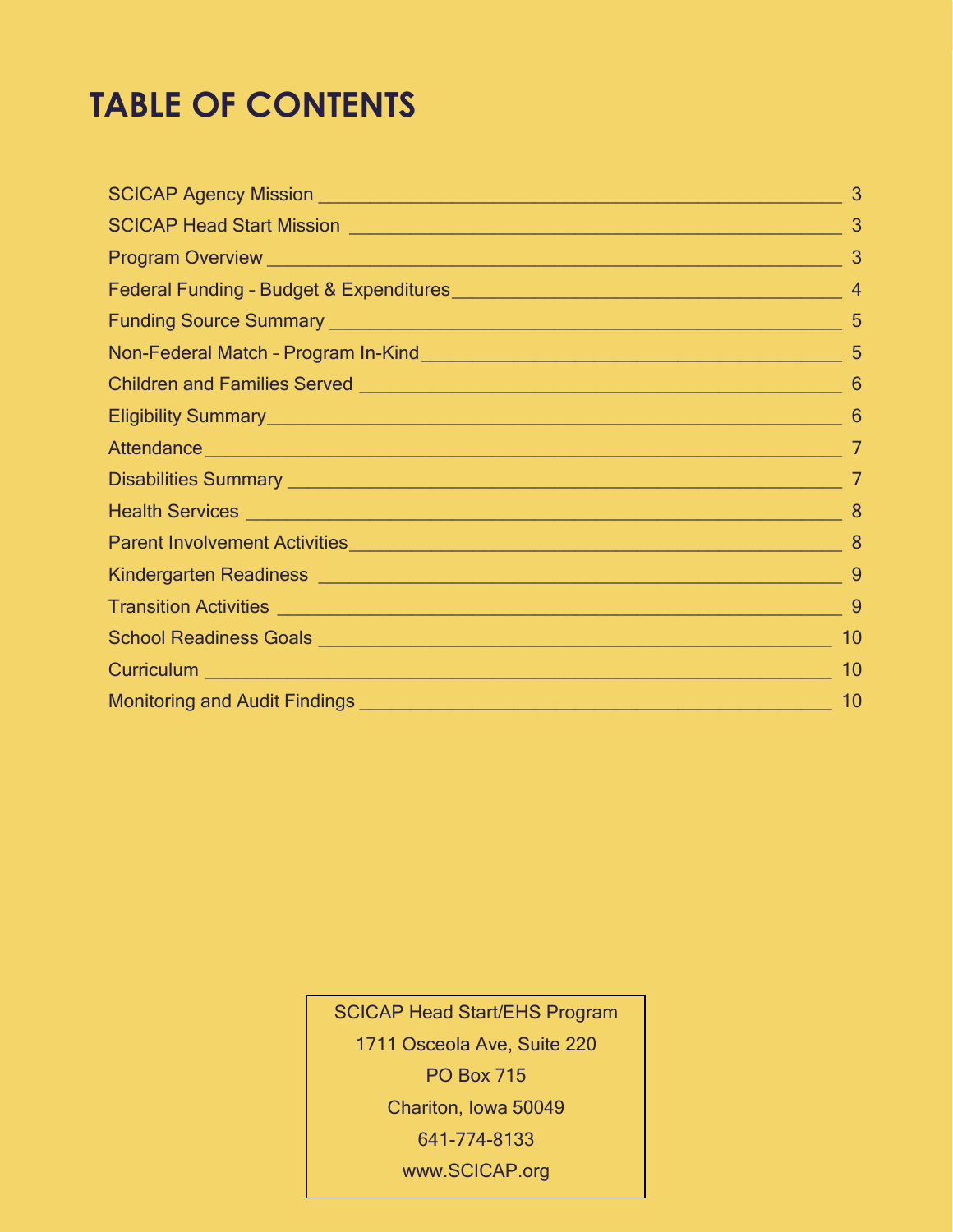## **TABLE OF CONTENTS**

| 3  |
|----|
| 3  |
|    |
|    |
|    |
|    |
| -6 |
|    |
|    |
|    |
| 8  |
|    |
|    |
|    |
| 10 |
| 10 |
| 10 |
|    |

SCICAP Head Start/EHS Program 1711 Osceola Ave, Suite 220 PO Box 715 Chariton, Iowa 50049 641-774-8133 www.SCICAP.org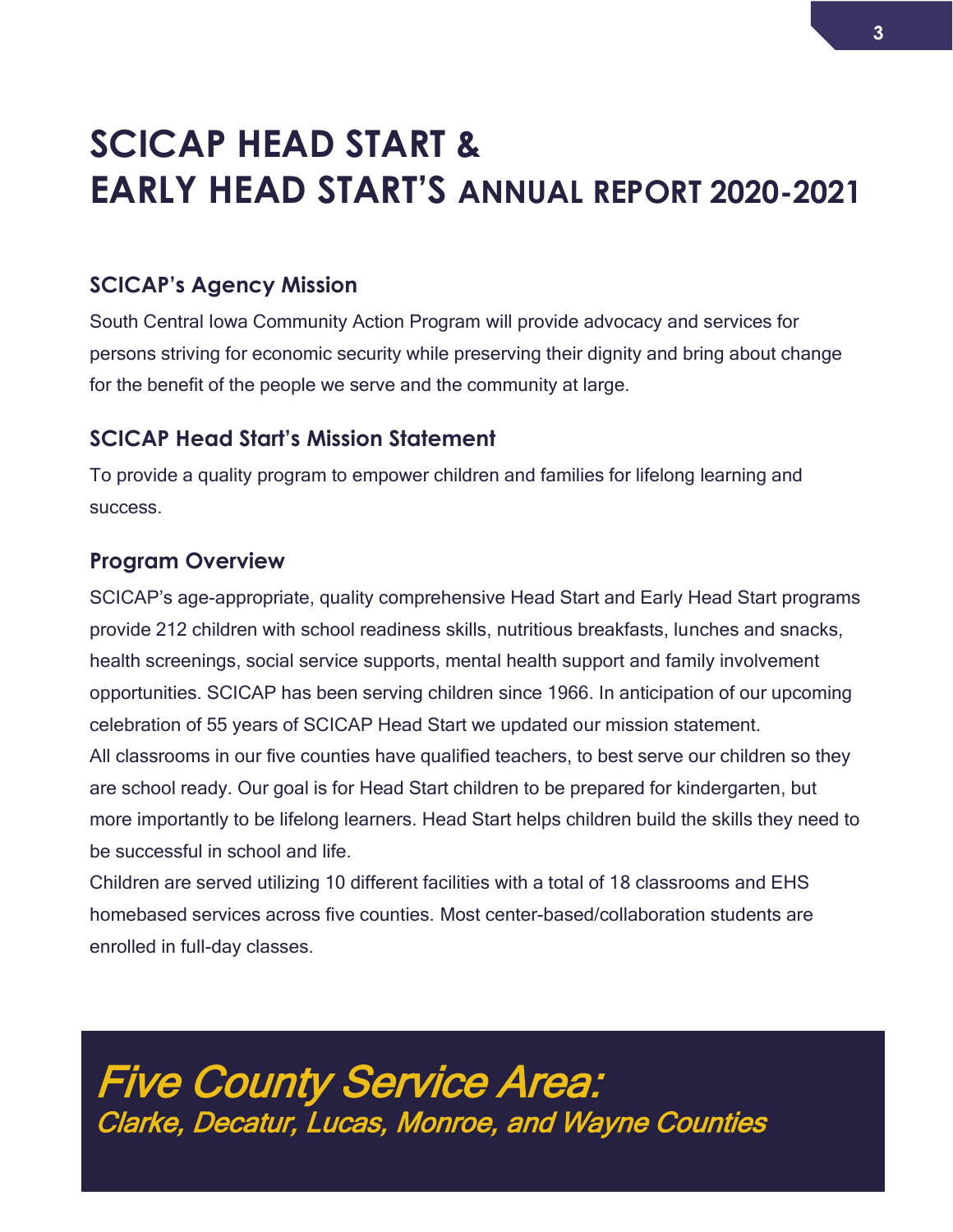# **SCICAP HEAD START & EARLY HEAD START'S ANNUAL REPORT 2020-2021**

### <span id="page-2-0"></span>**SCICAP's Agency Mission**

South Central Iowa Community Action Program will provide advocacy and services for persons striving for economic security while preserving their dignity and bring about change for the benefit of the people we serve and the community at large.

### <span id="page-2-1"></span>**SCICAP Head Start's Mission Statement**

To provide a quality program to empower children and families for lifelong learning and success.

### <span id="page-2-2"></span>**Program Overview**

SCICAP's age-appropriate, quality comprehensive Head Start and Early Head Start programs provide 212 children with school readiness skills, nutritious breakfasts, lunches and snacks, health screenings, social service supports, mental health support and family involvement opportunities. SCICAP has been serving children since 1966. In anticipation of our upcoming celebration of 55 years of SCICAP Head Start we updated our mission statement. All classrooms in our five counties have qualified teachers, to best serve our children so they are school ready. Our goal is for Head Start children to be prepared for kindergarten, but more importantly to be lifelong learners. Head Start helps children build the skills they need to be successful in school and life.

Children are served utilizing 10 different facilities with a total of 18 classrooms and EHS homebased services across five counties. Most center-based/collaboration students are enrolled in full-day classes.

Five County Service Area: Clarke, Decatur, Lucas, Monroe, and Wayne Counties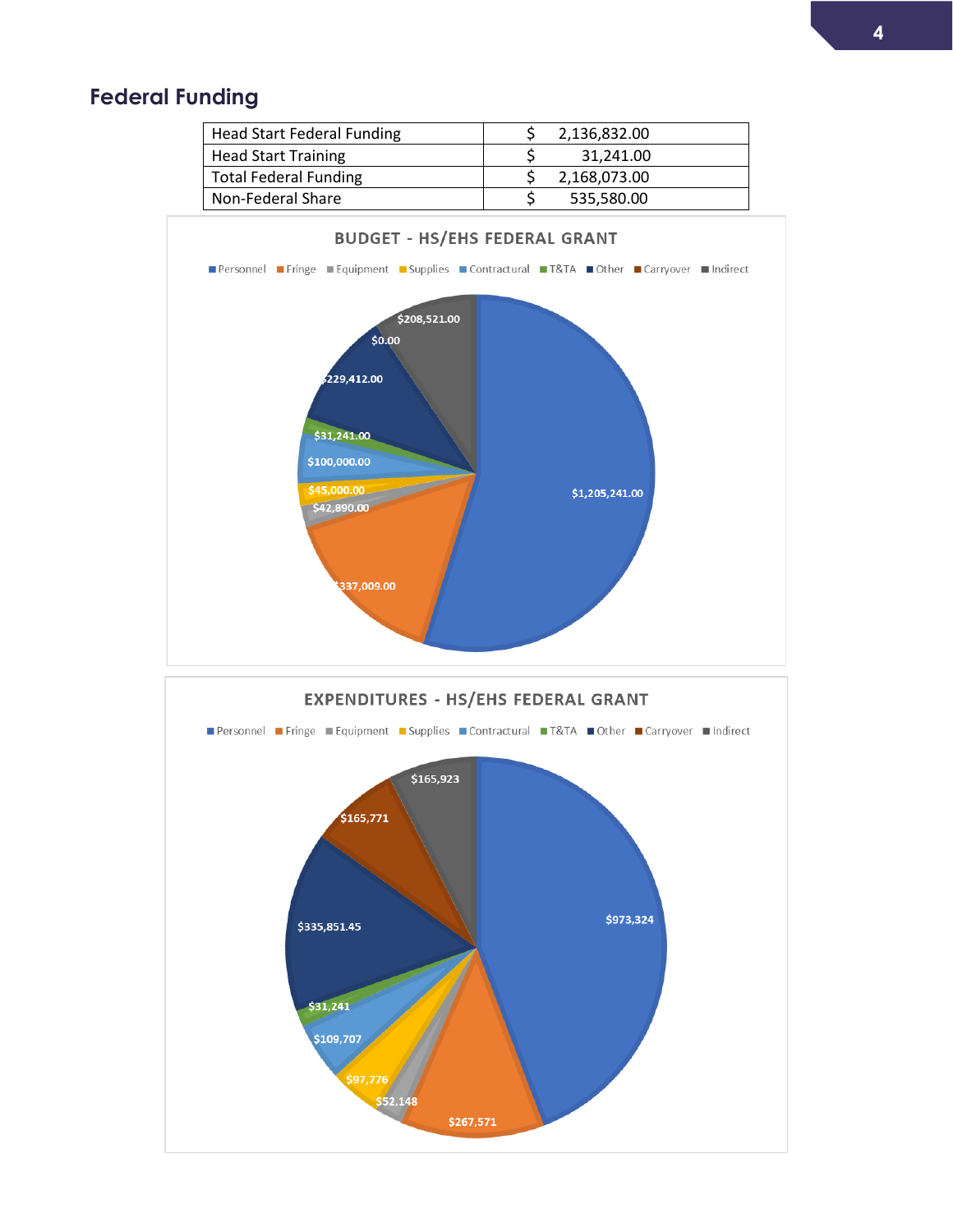### **Federal Funding**



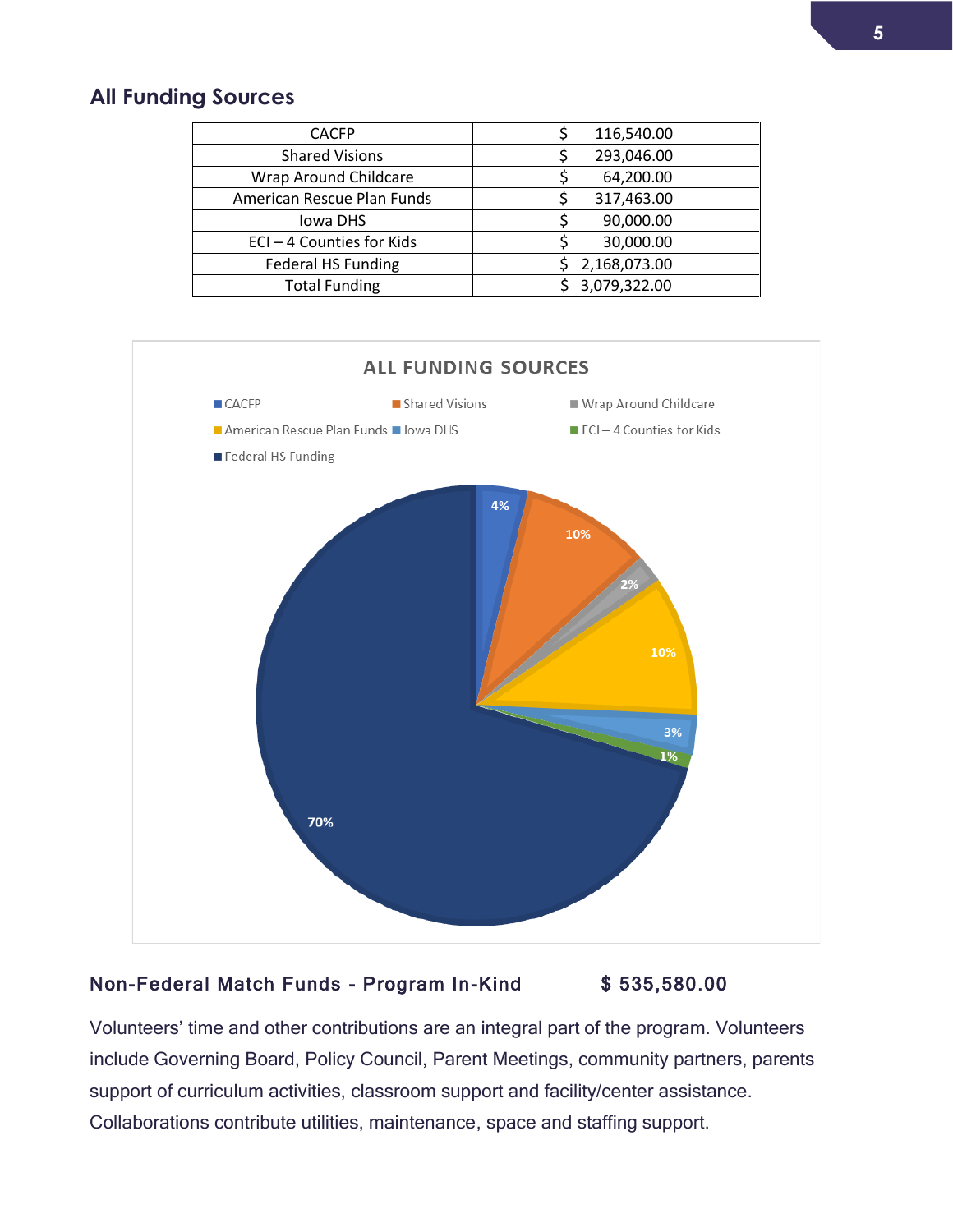### **All Funding Sources**

| <b>CACFP</b>               | 116,540.00   |
|----------------------------|--------------|
| <b>Shared Visions</b>      | 293,046.00   |
| Wrap Around Childcare      | 64,200.00    |
| American Rescue Plan Funds | 317,463.00   |
| <b>Iowa DHS</b>            | 90,000.00    |
| ECI-4 Counties for Kids    | 30,000.00    |
| <b>Federal HS Funding</b>  | 2,168,073.00 |
| <b>Total Funding</b>       | 3,079,322.00 |



### Non-Federal Match Funds - Program In-Kind \$ 535,580.00

Volunteers' time and other contributions are an integral part of the program. Volunteers include Governing Board, Policy Council, Parent Meetings, community partners, parents support of curriculum activities, classroom support and facility/center assistance. Collaborations contribute utilities, maintenance, space and staffing support.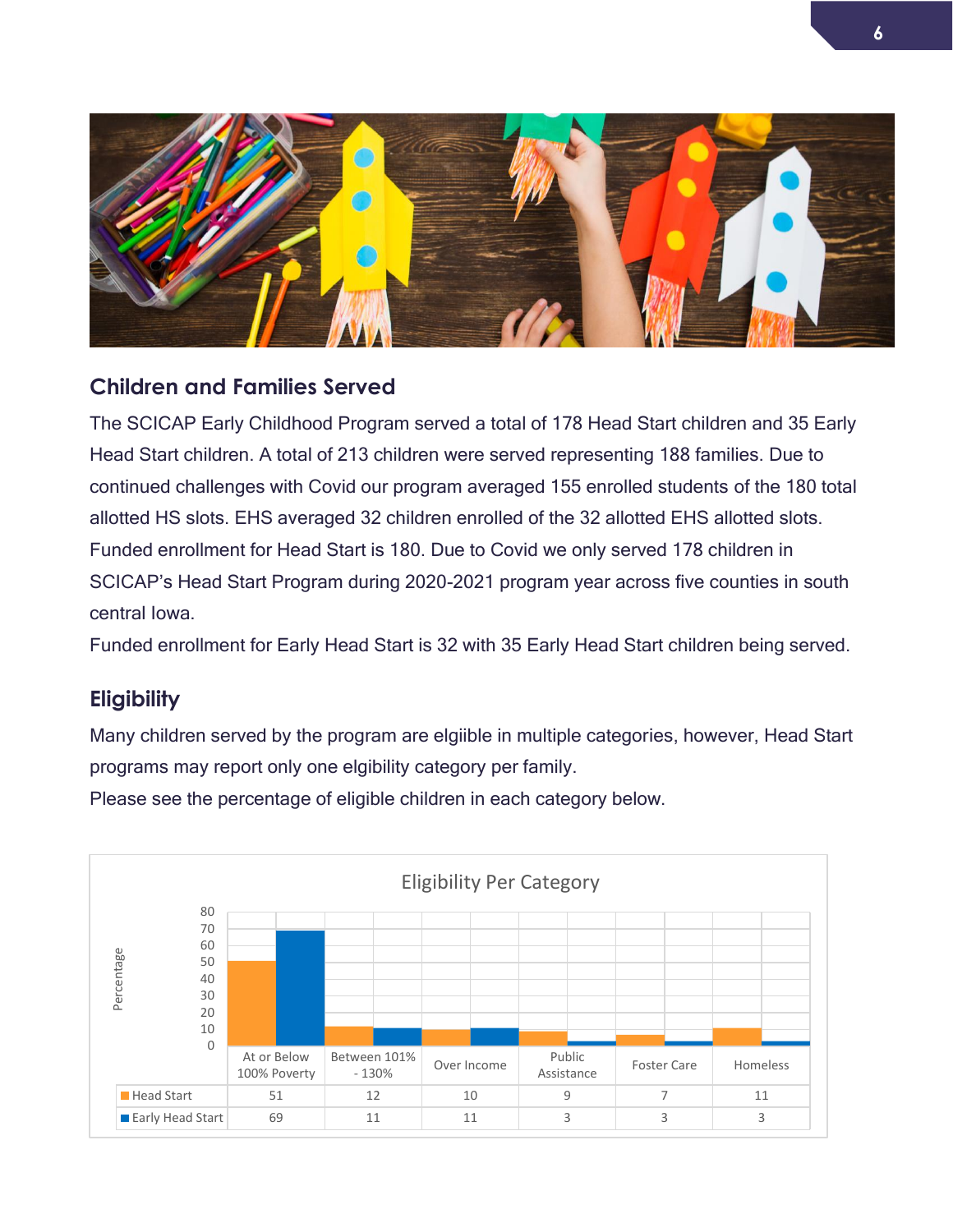

### <span id="page-5-0"></span>**Children and Families Served**

<span id="page-5-1"></span>The SCICAP Early Childhood Program served a total of 178 Head Start children and 35 Early Head Start children. A total of 213 children were served representing 188 families. Due to continued challenges with Covid our program averaged 155 enrolled students of the 180 total allotted HS slots. EHS averaged 32 children enrolled of the 32 allotted EHS allotted slots. Funded enrollment for Head Start is 180. Due to Covid we only served 178 children in SCICAP's Head Start Program during 2020-2021 program year across five counties in south central Iowa.

Funded enrollment for Early Head Start is 32 with 35 Early Head Start children being served.

### **Eligibility**

Many children served by the program are elgiible in multiple categories, however, Head Start programs may report only one elgibility category per family.

Please see the percentage of eligible children in each category below.

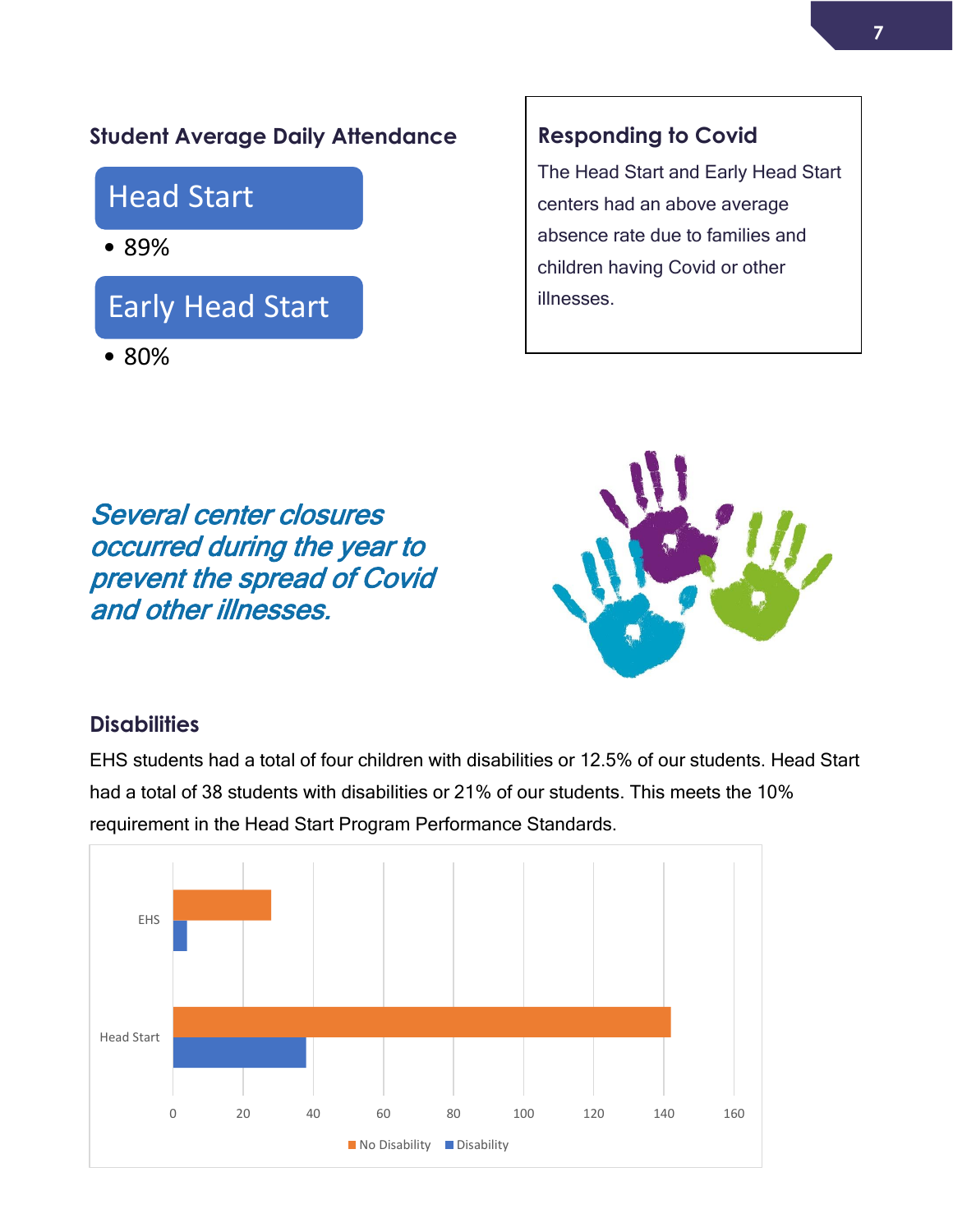### <span id="page-6-1"></span>**Student Average Daily Attendance**

### Head Start

• 89%

# Early Head Start

• 80%

### **Responding to Covid**

The Head Start and Early Head Start centers had an above average absence rate due to families and children having Covid or other illnesses.

Several center closures occurred during the year to prevent the spread of Covid and other illnesses.



### <span id="page-6-0"></span>**Disabilities**

EHS students had a total of four children with disabilities or 12.5% of our students. Head Start had a total of 38 students with disabilities or 21% of our students. This meets the 10% requirement in the Head Start Program Performance Standards.

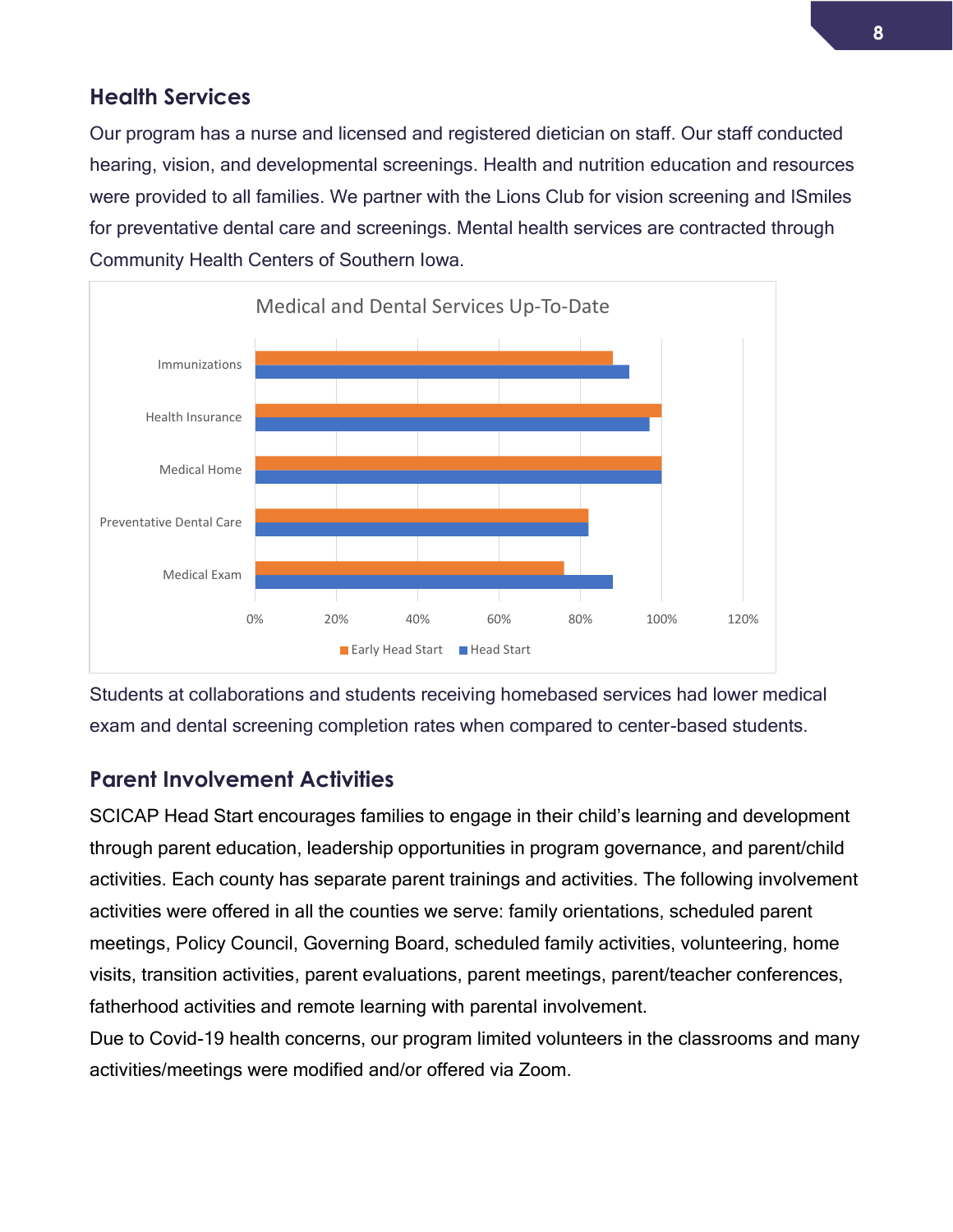### <span id="page-7-0"></span>**Health Services**

Our program has a nurse and licensed and registered dietician on staff. Our staff conducted hearing, vision, and developmental screenings. Health and nutrition education and resources were provided to all families. We partner with the Lions Club for vision screening and ISmiles for preventative dental care and screenings. Mental health services are contracted through Community Health Centers of Southern Iowa.



Students at collaborations and students receiving homebased services had lower medical exam and dental screening completion rates when compared to center-based students.

### **Parent Involvement Activities**

SCICAP Head Start encourages families to engage in their child's learning and development through parent education, leadership opportunities in program governance, and parent/child activities. Each county has separate parent trainings and activities. The following involvement activities were offered in all the counties we serve: family orientations, scheduled parent meetings, Policy Council, Governing Board, scheduled family activities, volunteering, home visits, transition activities, parent evaluations, parent meetings, parent/teacher conferences, fatherhood activities and remote learning with parental involvement.

Due to Covid-19 health concerns, our program limited volunteers in the classrooms and many activities/meetings were modified and/or offered via Zoom.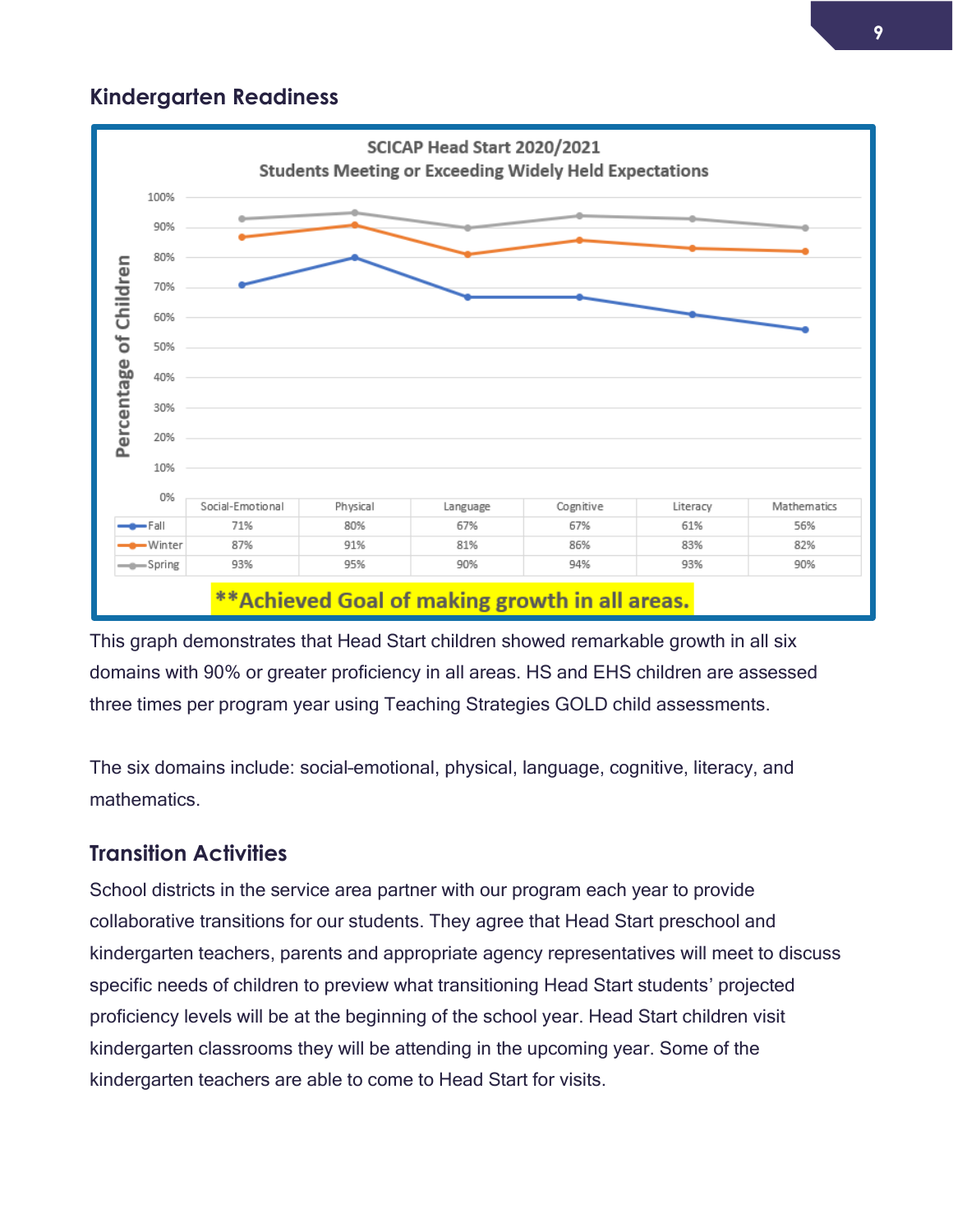### **Kindergarten Readiness**



This graph demonstrates that Head Start children showed remarkable growth in all six domains with 90% or greater proficiency in all areas. HS and EHS children are assessed three times per program year using Teaching Strategies GOLD child assessments.

The six domains include: social–emotional, physical, language, cognitive, literacy, and mathematics.

### **Transition Activities**

School districts in the service area partner with our program each year to provide collaborative transitions for our students. They agree that Head Start preschool and kindergarten teachers, parents and appropriate agency representatives will meet to discuss specific needs of children to preview what transitioning Head Start students' projected proficiency levels will be at the beginning of the school year. Head Start children visit kindergarten classrooms they will be attending in the upcoming year. Some of the kindergarten teachers are able to come to Head Start for visits.